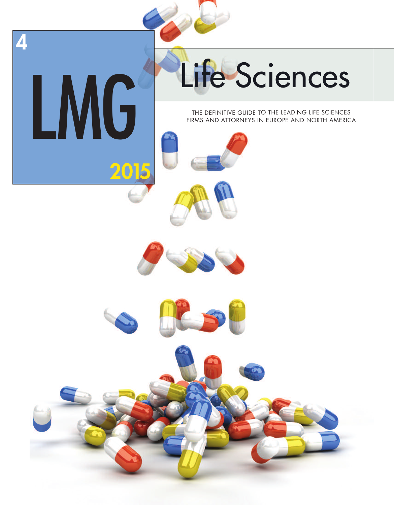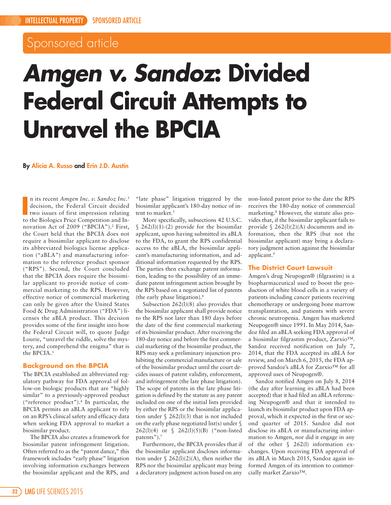# Sponsored article

# *Amgen v. Sandoz***: Divided Federal Circuit Attempts to Unravel the BPCIA**

**By Alicia A. Russo and Erin J.D. Austin**

In its recent *Amgen Inc. v. Sandoz Inc.*<sup>1</sup><br>decision, the Federal Circuit decided<br>two issues of first impression relating<br>to the Biologics Price Competition and Inn its recent *Amgen Inc. v. Sandoz Inc*. 1 decision, the Federal Circuit decided two issues of first impression relating novation Act of 2009 ("BPCIA"). <sup>2</sup> First, the Court held that the BPCIA does not require a biosimilar applicant to disclose its abbreviated biologics license application ("aBLA") and manufacturing information to the reference product sponsor ("RPS"). Second, the Court concluded that the BPCIA does require the biosimilar applicant to provide notice of commercial marketing to the RPS. However, effective notice of commercial marketing can only be given after the United States Food & Drug Administration ("FDA") licenses the aBLA product. This decision provides some of the first insight into how the Federal Circuit will, to quote Judge Lourie, "unravel the riddle, solve the mystery, and comprehend the enigma" that is the BPCIA. 3

### **Background on the BPCIA**

The BPCIA established an abbreviated regulatory pathway for FDA approval of follow-on biologic products that are "highly similar" to a previously-approved product ("reference product"). <sup>4</sup> In particular, the BPCIA permits an aBLA applicant to rely on an RPS's clinical safety and efficacy data when seeking FDA approval to market a biosimilar product.

The BPCIA also creates a framework for biosimilar patent infringement litigation. Often referred to as the "patent dance," this framework includes "early phase" litigation involving information exchanges between the biosimilar applicant and the RPS, and

"late phase" litigation triggered by the biosimilar applicant's 180-day notice of intent to market. 5

More specifically, subsections 42 U.S.C.  $$262(1)(1)-(2)$  provide for the biosimilar applicant, upon having submitted its aBLA to the FDA, to grant the RPS confidential access to the aBLA, the biosimilar applicant's manufacturing information, and additional information requested by the RPS. The parties then exchange patent information, leading to the possibility of an immediate patent infringement action brought by the RPS based on a negotiated list of patents (the early phase litigation). 6

Subsection 262(l)(8) also provides that the biosimilar applicant shall provide notice to the RPS not later than 180 days before the date of the first commercial marketing of its biosimilar product. After receiving the 180-day notice and before the first commercial marketing of the biosimilar product, the RPS may seek a preliminary injunction prohibiting the commercial manufacture or sale of the biosimilar product until the court decides issues of patent validity, enforcement, and infringement (the late phase litigation). The scope of patents in the late phase litigation is defined by the statute as any patent included on one of the initial lists provided by either the RPS or the biosimilar application under  $\S$  262(l)(3) that is not included on the early phase negotiated list(s) under § 262(l)(4) or § 262(l)(5)(B) ("non-listed patents"). 7

Furthermore, the BPCIA provides that if the biosimilar applicant discloses information under § 262(l)(2)(A), then neither the RPS nor the biosimilar applicant may bring a declaratory judgment action based on any

non-listed patent prior to the date the RPS receives the 180-day notice of commercial marketing. <sup>8</sup> However, the statute also provides that, if the biosimilar applicant fails to provide  $\S$  262(l)(2)(A) documents and information, then the RPS (but not the biosimilar applicant) may bring a declaratory judgment action against the biosimilar applicant. 9

# **The District Court Lawsuit**

Amgen's drug Neupogen® (filgrastim) is a biopharmaceutical used to boost the production of white blood cells in a variety of patients including cancer patients receiving chemotherapy or undergoing bone marrow transplantation, and patients with severe chronic neutropenia. Amgen has marketed Neupogen® since 1991. In May 2014, Sandoz filed an aBLA seeking FDA approval of a biosimilar filgrastim product, Zarxio™. Sandoz received notification on July 7, 2014, that the FDA accepted its aBLA for review, and on March 6, 2015, the FDA approved Sandoz's aBLA for Zarxio™ for all approved uses of Neupogen®.

Sandoz notified Amgen on July 8, 2014 (the day after learning its aBLA had been accepted) that it had filed an aBLA referencing Neupogen® and that it intended to launch its biosimilar product upon FDA approval, which it expected in the first or second quarter of 2015. Sandoz did not disclose its aBLA or manufacturing information to Amgen, nor did it engage in any of the other § 262(l) information exchanges. Upon receiving FDA approval of its aBLA in March 2015, Sandoz again informed Amgen of its intention to commercially market Zarxio™.